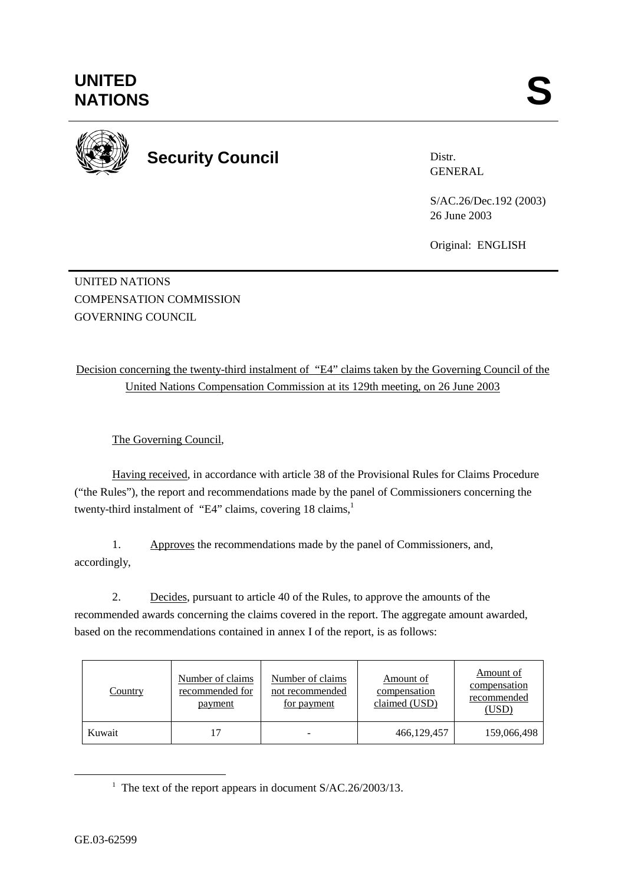

**Security Council** 

Distr. GENERAL

S/AC.26/Dec.192 (2003) 26 June 2003

Original: ENGLISH

UNITED NATIONS COMPENSATION COMMISSION GOVERNING COUNCIL.

Decision concerning the twenty-third instalment of "E4" claims taken by the Governing Council of the United Nations Compensation Commission at its 129th meeting, on 26 June 2003

The Governing Council,

Having received, in accordance with article 38 of the Provisional Rules for Claims Procedure ("the Rules"), the report and recommendations made by the panel of Commissioners concerning the twenty-third instalment of "E4" claims, covering 18 claims,<sup>1</sup>

1. Approves the recommendations made by the panel of Commissioners, and, accordingly,

2. Decides, pursuant to article 40 of the Rules, to approve the amounts of the recommended awards concerning the claims covered in the report. The aggregate amount awarded, based on the recommendations contained in annex I of the report, is as follows:

| <b>Country</b> | Number of claims<br>recommended for<br>payment | Number of claims<br>not recommended<br>for payment | Amount of<br>compensation<br>claimed (USD) | Amount of<br>compensation<br>recommended<br>(USD) |
|----------------|------------------------------------------------|----------------------------------------------------|--------------------------------------------|---------------------------------------------------|
| Kuwait         | 17                                             |                                                    | 466,129,457                                | 159,066,498                                       |

<sup>&</sup>lt;u>1</u> <sup>1</sup> The text of the report appears in document  $S/AC.26/2003/13$ .